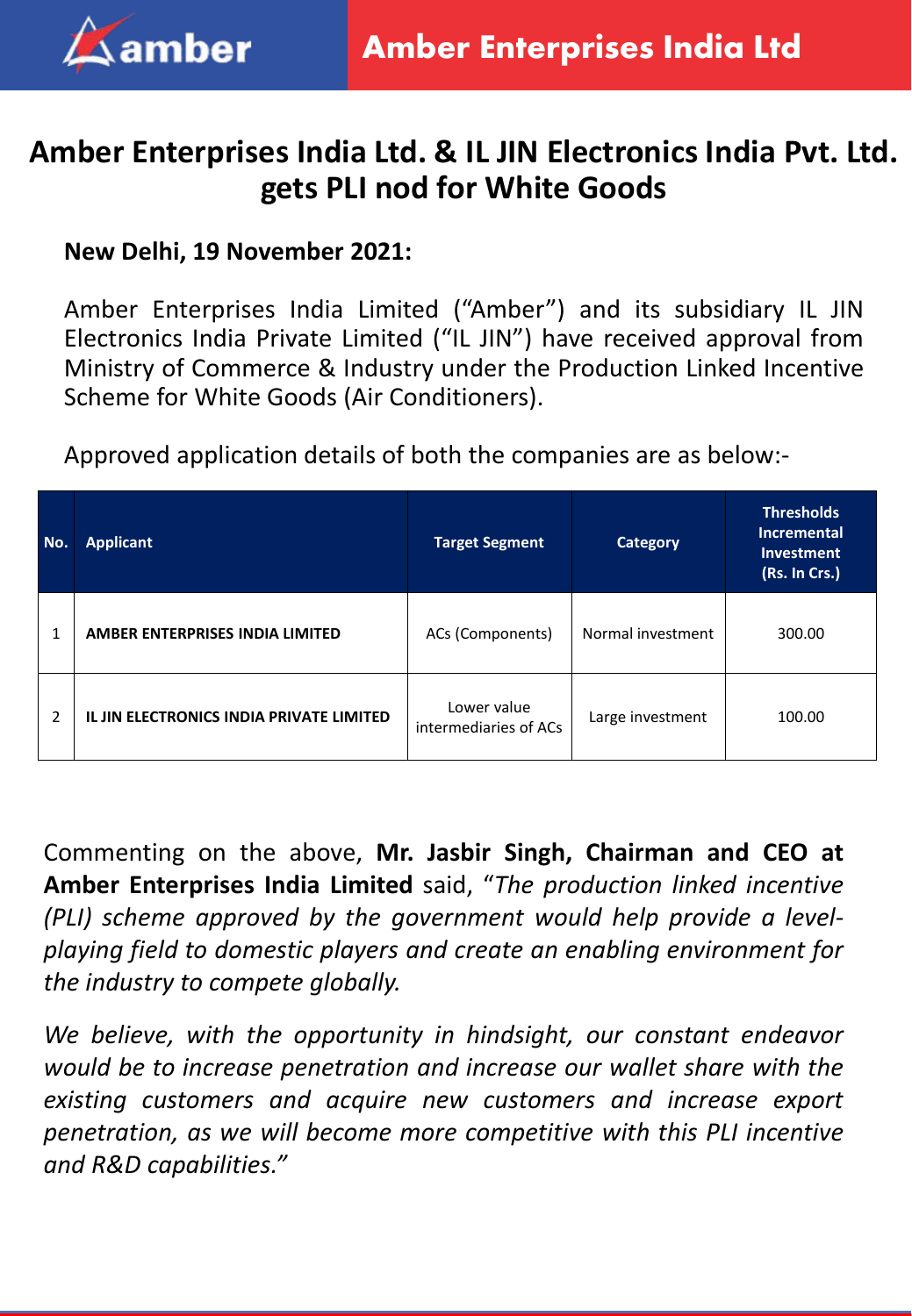

## **Amber Enterprises India Ltd. & IL JIN Electronics India Pvt. Ltd. gets PLI nod for White Goods**

## **New Delhi, 19 November 2021:**

Amber Enterprises India Limited ("Amber") and its subsidiary IL JIN Electronics India Private Limited ("IL JIN") have received approval from Ministry of Commerce & Industry under the Production Linked Incentive Scheme for White Goods (Air Conditioners).

Approved application details of both the companies are as below:-

| No. | <b>Applicant</b>                         | <b>Target Segment</b>                | <b>Category</b>   | <b>Thresholds</b><br><b>Incremental</b><br>Investment<br>(Rs. In Crs.) |
|-----|------------------------------------------|--------------------------------------|-------------------|------------------------------------------------------------------------|
| 1   | AMBER ENTERPRISES INDIA LIMITED          | ACs (Components)                     | Normal investment | 300.00                                                                 |
| 2   | IL JIN ELECTRONICS INDIA PRIVATE LIMITED | Lower value<br>intermediaries of ACs | Large investment  | 100.00                                                                 |

Commenting on the above, **Mr. Jasbir Singh, Chairman and CEO at Amber Enterprises India Limited** said, "*The production linked incentive (PLI) scheme approved by the government would help provide a levelplaying field to domestic players and create an enabling environment for the industry to compete globally.*

*We believe, with the opportunity in hindsight, our constant endeavor would be to increase penetration and increase our wallet share with the existing customers and acquire new customers and increase export penetration, as we will become more competitive with this PLI incentive and R&D capabilities."*